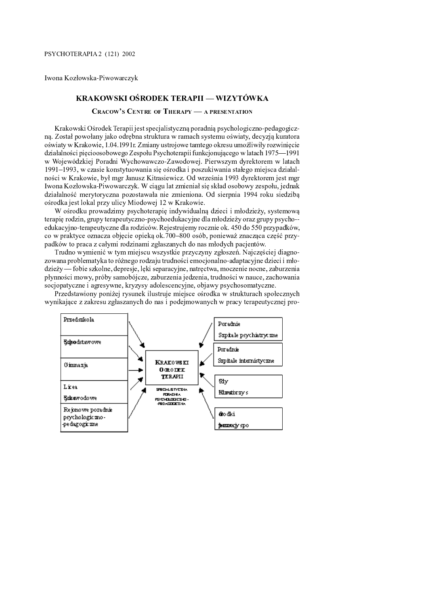. . . . . .

# KRAKOWSKI OŚRODEK TERAPII — WIZYTÓWK

0 <sup>1</sup> <sup>2</sup> <sup>3</sup> <sup>4</sup> <sup>5</sup> <sup>6</sup> <sup>7</sup> <sup>0</sup> <sup>8</sup> <sup>9</sup> : <sup>1</sup> <sup>8</sup> <sup>4</sup> ; \* <sup>&</sup>lt; <sup>8</sup> <sup>1</sup> <sup>2</sup> <sup>=</sup> <sup>&</sup>gt; , <sup>2</sup> <sup>=</sup> <sup>1</sup> <sup>8</sup> <sup>7</sup> <sup>8</sup> <sup>9</sup> : <sup>2</sup> : ? <sup>4</sup> <sup>9</sup>

 @ <sup>A</sup> <sup>B</sup> <sup>C</sup> <sup>D</sup> <sup>C</sup> <sup>E</sup> <sup>F</sup> <sup>C</sup> <sup>G</sup> <sup>E</sup> <sup>C</sup> <sup>F</sup> <sup>H</sup> <sup>G</sup> <sup>I</sup> <sup>E</sup> <sup>B</sup> <sup>I</sup> <sup>E</sup> <sup>J</sup> <sup>H</sup> <sup>K</sup> <sup>E</sup> <sup>C</sup> <sup>B</sup> <sup>K</sup> <sup>K</sup> <sup>I</sup> <sup>L</sup> <sup>M</sup> <sup>G</sup> <sup>E</sup> <sup>F</sup> <sup>B</sup> <sup>N</sup> <sup>O</sup> <sup>G</sup> <sup>P</sup> <sup>G</sup> <sup>P</sup> <sup>Q</sup> <sup>J</sup> <sup>G</sup> <sup>C</sup> <sup>Q</sup> <sup>P</sup> <sup>A</sup> <sup>G</sup> <sup>R</sup> <sup>B</sup> <sup>C</sup> <sup>F</sup> <sup>I</sup> <sup>P</sup> <sup>G</sup> B <sup>H</sup> <sup>A</sup> <sup>E</sup> <sup>N</sup> <sup>O</sup> <sup>C</sup> <sup>K</sup> <sup>M</sup> <sup>C</sup> <sup>E</sup> <sup>P</sup> <sup>J</sup> <sup>G</sup> <sup>C</sup> <sup>E</sup> <sup>X</sup> <sup>P</sup> <sup>F</sup> <sup>P</sup> <sup>F</sup> <sup>I</sup> <sup>C</sup> <sup>K</sup> <sup>H</sup> <sup>G</sup> <sup>J</sup> <sup>S</sup> <sup>V</sup> <sup>Y</sup> <sup>Z</sup> [ [ <sup>S</sup> <sup>V</sup> <sup>V</sup> <sup>S</sup> \ <sup>F</sup> <sup>C</sup> ] <sup>B</sup> <sup>C</sup> <sup>F</sup> <sup>B</sup> \ <sup>J</sup> <sup>M</sup> <sup>B</sup> <sup>C</sup> <sup>F</sup> <sup>L</sup> <sup>C</sup> <sup>Q</sup> <sup>B</sup> <sup>C</sup> <sup>G</sup> <sup>C</sup> <sup>Q</sup> <sup>H</sup> <sup>G</sup> <sup>J</sup> ا ا ا ک ان کی ان این است که او است که است که است که است که است که است که است که است که است که است که است که ا <sup>A</sup> <sup>C</sup> <sup>R</sup> <sup>O</sup> <sup>Q</sup> <sup>K</sup> \_ <sup>P</sup> <sup>G</sup> <sup>C</sup> <sup>L</sup> @ <sup>B</sup> <sup>C</sup> <sup>A</sup> <sup>S</sup> <sup>V</sup> <sup>V</sup> ^ <sup>B</sup> <sup>C</sup> <sup>G</sup> <sup>C</sup> <sup>Q</sup> <sup>F</sup> <sup>C</sup> <sup>G</sup> <sup>Q</sup> <sup>K</sup> <sup>L</sup> \ <sup>I</sup> <sup>K</sup> <sup>P</sup> <sup>H</sup> <sup>G</sup> <sup>Q</sup> <sup>C</sup> <sup>N</sup> <sup>B</sup> <sup>O</sup> <sup>C</sup> <sup>E</sup> <sup>P</sup> <sup>R</sup> <sup>F</sup> <sup>C</sup> <sup>B</sup> <sup>A</sup> <sup>B</sup> <sup>F</sup> <sup>C</sup> <sup>G</sup> <sup>H</sup> <sup>H</sup> <sup>E</sup> <sup>P</sup> <sup>H</sup> <sup>a</sup> <sup>B</sup> <sup>C</sup> <sup>F</sup> <sup>S</sup> <sup>b</sup> <sup>C</sup> <sup>L</sup>

\ <sup>A</sup> <sup>B</sup> <sup>P</sup> <sup>E</sup> <sup>B</sup> <sup>Q</sup> <sup>E</sup> <sup>J</sup> <sup>G</sup> <sup>C</sup> <sup>E</sup> <sup>N</sup> <sup>B</sup> <sup>B</sup> <sup>P</sup> <sup>H</sup> <sup>I</sup> <sup>B</sup> <sup>C</sup> <sup>Q</sup> <sup>B</sup> <sup>C</sup> <sup>W</sup> <sup>R</sup> <sup>G</sup> <sup>C</sup> <sup>Q</sup> <sup>I</sup>  $\mathcal{A} = \mathcal{A} + \mathcal{A} + \mathcal{A} + \mathcal{A} + \mathcal{A} + \mathcal{A} + \mathcal{A} + \mathcal{A} + \mathcal{A} + \mathcal{A} + \mathcal{A} + \mathcal{A} + \mathcal{A} + \mathcal{A} + \mathcal{A} + \mathcal{A} + \mathcal{A} + \mathcal{A} + \mathcal{A} + \mathcal{A} + \mathcal{A} + \mathcal{A} + \mathcal{A} + \mathcal{A} + \mathcal{A} + \mathcal{A} + \mathcal{A} + \mathcal{A} + \mathcal{A} + \mathcal{A} + \mathcal$  $\mathcal{L}$  , and a gradient contribution of the contribution of the contribution of the contribution of the contribution of the contribution of the contribution of the contribution of the contribution of the contribution of  $\blacksquare$ 

D <sup>P</sup> <sup>B</sup> <sup>Q</sup> <sup>C</sup> ` <sup>G</sup> <sup>Q</sup> <sup>Q</sup> <sup>C</sup> <sup>F</sup> <sup>P</sup> <sup>G</sup> <sup>C</sup> <sup>E</sup> <sup>K</sup> <sup>C</sup> <sup>e</sup> <sup>L</sup> <sup>f</sup> <sup>F</sup> <sup>N</sup> <sup>A</sup> <sup>C</sup> <sup>F</sup> <sup>B</sup> <sup>K</sup> <sup>E</sup> <sup>O</sup> <sup>H</sup> <sup>C</sup> <sup>Q</sup> <sup>G</sup> <sup>G</sup> ] <sup>W</sup> <sup>C</sup> <sup>K</sup> <sup>B</sup> <sup>F</sup> <sup>P</sup> <sup>G</sup> <sup>P</sup> <sup>B</sup> <sup>A</sup> <sup>C</sup> <sup>Q</sup> <sup>F</sup> <sup>H</sup> <sup>B</sup> <sup>E</sup> <sup>G</sup> <sup>F</sup> <sup>C</sup> <sup>B</sup> <sup>C</sup> <sup>Q</sup> B <sup>C</sup> <sup>W</sup> <sup>g</sup> <sup>X</sup> <sup>O</sup> <sup>C</sup> <sup>H</sup> <sup>C</sup> <sup>R</sup> <sup>B</sup> <sup>C</sup> <sup>E</sup> <sup>C</sup> <sup>F</sup> <sup>C</sup> <sup>R</sup> <sup>H</sup> <sup>N</sup> <sup>C</sup> <sup>E</sup> <sup>F</sup> <sup>C</sup> <sup>R</sup> <sup>G</sup> <sup>N</sup> <sup>G</sup> <sup>R</sup> <sup>Q</sup> <sup>C</sup> <sup>C</sup> <sup>C</sup> <sup>R</sup> <sup>O</sup> <sup>P</sup> <sup>C</sup>  $E = \frac{1}{2}$  or  $E = \frac{1}{2}$  or  $E = \frac{1}{2}$  or  $E = \frac{1}{2}$  . The contract behavior of  $E = \frac{1}{2}$  or  $E = \frac{1}{2}$ For a given in the case of the case of the case of the case of the case of the case of the case of the case of

ح الله عليه الله عليه الله عليه الله عليه الله عليه الله عليه الله عليه الله عليه الله عليه الله عليه الله عليه<br>وقال الله عليه الله عليه الله عليه الله عليه الله عليه الله عليه الله عليه الله عليه الله عليه الله عليه الله For a constant  $\mathbf{A}$  is a constant  $\mathbf{A}$  becomes a constant  $\mathbf{A}$  and  $\mathbf{A}$  are constant  $\mathbf{A}$  and  $\mathbf{A}$  are constant  $\mathbf{A}$  and  $\mathbf{A}$  are constant  $\mathbf{A}$  and  $\mathbf{A}$  are constant  $\mathbf{A}$  and  $\$ 

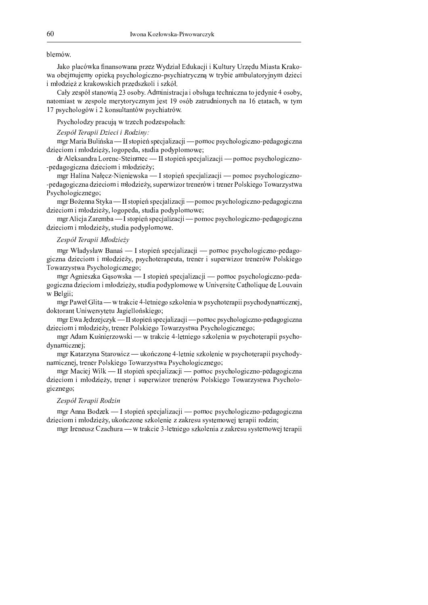## blemów.

Jako placówka finansowana przez Wydział Edukacji i Kultury Urzędu Miasta Krakowa obejmujemy opieką psychologiczno-psychiatryczną w trybie ambulatoryjnym dzieci i młodzież z krakowskich przedszkoli i szkół.

Cały zespół stanowia 23 osoby. Administracja i obsługa techniczna to jedynie 4 osoby, natomiast w zespole merytorycznym jest 19 osób zatrudnionych na 16 etatach, w tym 17 psychologów i 2 konsultantów psychiatrów.

Psycholodzy pracują w trzech podzespołach:

#### Zespół Terapii Dzieci i Rodziny:

mgr Maria Bulińska — II stopień specjalizacji — pomoc psychologiczno-pedagogiczna dzieciom i młodzieży, logopeda, studia podyplomowe;

 $dr$  Aleksandra Lorenc-Steinmec — II stopień specjalizacji — pomoc psychologiczno--pedagogiczna dzieciom i młodzieży;

mgr Halina Nałęcz-Nieniewska — I stopień specjalizacji — pomoc psychologiczno--pedagogiczna dzieciom i młodzieży, superwizor trenerów i trener Polskiego Towarzystwa Psychologicznego;

mgr Bożenna Styka — II stopień specjalizacji — pomoc psychologiczno-pedagogiczna dzieciom i młodzieży, logopeda, studia podyplomowe;

mgr Alicja Zaremba — I stopień specjalizacji — pomoc psychologiczno-pedagogiczna dzieciom i młodzieży, studia podyplomowe.

# Zespół Terapii Młodzieży

mgr Władysław Banaś — I stopień specjalizacji — pomoc psychologiczno-pedagogiczna dzieciom i młodzieży, psychoterapeuta, trener i superwizor trenerów Polskiego Towarzystwa Psychologicznego;

mgr Agnieszka Gąsowska — I stopień specjalizacji — pomoc psychologiczno-pedagogiczna dzieciom i młodzieży, studia podyplomowe w Universite Catholique de Louvain w Belgii;

mgr Paweł Glita — w trakcie 4-letniego szkolenia w psychoterapii psychodynamicznej, doktorant Uniwersytetu Jagiellońskiego;

mgr Ewa Jędrzejczyk — II stopień specjalizacji — pomoc psychologiczno-pedagogiczna dzieciom i młodzieży, trener Polskiego Towarzystwa Psychologicznego;

mgr Adam Kuśnierzowski — w trakcie 4-letniego szkolenia w psychoterapii psychodynamicznej;

mgr Katarzyna Starowicz — ukończone 4-letnie szkolenie w psychoterapii psychodynamicznej, trener Polskiego Towarzystwa Psychologicznego;

mgr Maciej Wilk — II stopień specjalizacji — pomoc psychologiczno-pedagogiczna dzieciom i młodzieży, trener i superwizor trenerów Polskiego Towarzystwa Psychologicznego;

## Zespół Terapii Rodzin

mgr Anna Bodzek — I stopień specjalizacji — pomoc psychologiczno-pedagogiczna dzieciom i młodzieży, ukończone szkolenie z zakresu systemowej terapii rodzin;

mgr Ireneusz Czachura — w trakcie 3-letniego szkolenia z zakresu systemowej terapii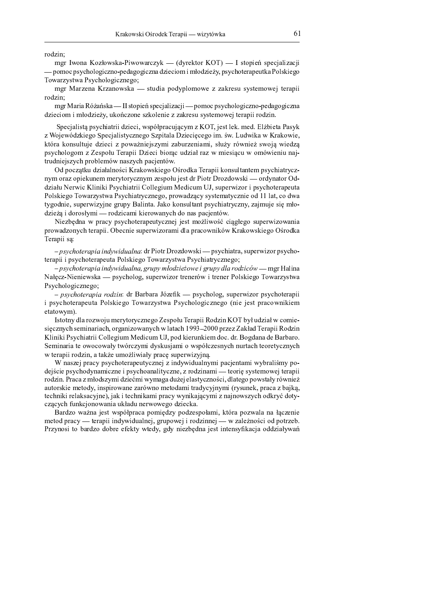rodzin;

mgr Iwona Kozłowska-Piwowarczyk — (dyrektor KOT) — I stopień specjalizacji - pomoc psychologiczno-pedagogiczna dzieciom i młodzieży, psychoterapeutka Polskiego Towarzystwa Psychologicznego;

mgr Marzena Krzanowska — studia podyplomowe z zakresu systemowej terapii rodzin;

mgr Maria Różańska — II stopień specjalizacji — pomoc psychologiczno-pedagogiczna dzieciom i młodzieży, ukończone szkolenie z zakresu systemowej terapii rodzin.

Specjalistą psychiatrii dzieci, współpracującym z KOT, jest lek. med. Elżbieta Pasyk z Wojewódzkiego Specjalistycznego Szpitala Dziecięcego im. św. Ludwika w Krakowie, która konsultuje dzieci z poważniejszymi zaburzeniami, służy również swoją wiedzą psychologom z Zespołu Terapii Dzieci biorąc udział raz w miesiącu w omówieniu najtrudniejszych problemów naszych pacjentów.

Od początku działalności Krakowskiego Ośrodka Terapii konsultantem psychiatrycznym oraz opiekunem merytorycznym zespołu jest dr Piotr Drozdowski — ordynator Oddziału Nerwic Kliniki Psychiatrii Collegium Medicum UJ, superwizor i psychoterapeuta Polskiego Towarzystwa Psychiatrycznego, prowadzący systematycznie od 11 lat, co dwa tygodnie, superwizyjne grupy Balinta. Jako konsultant psychiatryczny, zajmuje się młodzieżą i dorosłymi — rodzicami kierowanych do nas pacjentów.

Niezbędna w pracy psychoterapeutycznej jest możliwość ciągłego superwizowania prowadzonych terapii. Obecnie superwizorami dla pracowników Krakowskiego Ośrodka Terapii są:

- *psychoterapia indywidualna*: dr Piotr Drozdowski — psychiatra, superwizor psychoterapii i psychoterapeuta Polskiego Towarzystwa Psychiatrycznego;

 $-psychoterapia indywidualna, grupy młodzieżowe i grupy dla rodziców - mgr Halina$ Nałęcz-Nieniewska — psycholog, superwizor trenerów i trener Polskiego Towarzystwa Psychologicznego;

- psychoterapia rodzin: dr Barbara Józefik - psycholog, superwizor psychoterapii i psychoterapeuta Polskiego Towarzystwa Psychologicznego (nie jest pracownikiem etatowym).

Istotny dla rozwoju merytorycznego Zespołu Terapii Rodzin KOT był udział w comiesięcznych seminariach, organizowanych w latach 1993-2000 przez Zakład Terapii Rodzin Kliniki Psychiatrii Collegium Medicum UJ, pod kierunkiem doc. dr. Bogdana de Barbaro. Seminaria te owocowały twórczymi dyskusjami o współczesnych nurtach teoretycznych w terapii rodzin, a także umożliwiały pracę superwizyjną.

W naszej pracy psychoterapeutycznej z indywidualnymi pacjentami wybraliśmy podejście psychodynamiczne i psychoanalityczne, z rodzinami — teorie systemowej terapii rodzin. Praca z młodszymi dziećmi wymaga dużej elastyczności, dlatego powstały również autorskie metody, inspirowane zarówno metodami tradycyjnymi (rysunek, praca z bajką, techniki relaksacyjne), jak i technikami pracy wynikającymi z najnowszych odkryć dotyczących funkcjonowania układu nerwowego dziecka.

Bardzo ważna jest współpraca pomiędzy podzespołami, która pozwala na łączenie metod pracy — terapii indywidualnej, grupowej i rodzinnej — w zależności od potrzeb. Przynosi to bardzo dobre efekty wtedy, gdy niezbędna jest intensyfikacja oddziaływań